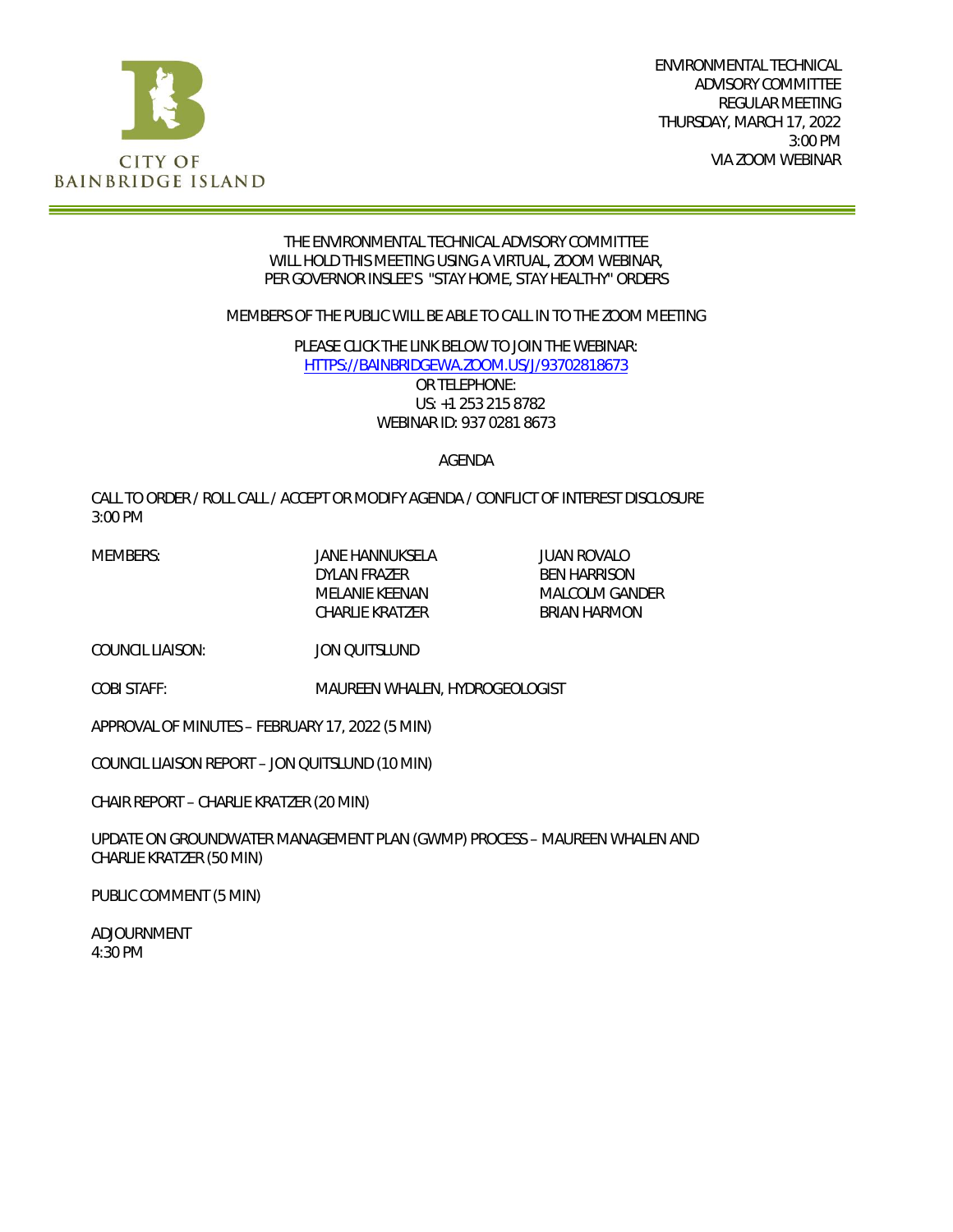

ENVIRONMENTAL TECHNICAL ADVISORY COMMITTEE REGULAR MEETING THURSDAY, MARCH 17, 2022 3:00 PM VIA ZOOM WEBINAR

#### THE ENVIRONMENTAL TECHNICAL ADVISORY COMMITTEE WILL HOLD THIS MEETING USING A VIRTUAL, ZOOM WEBINAR, PER GOVERNOR INSLEE'S "STAY HOME, STAY HEALTHY" ORDERS

MEMBERS OF THE PUBLIC WILL BE ABLE TO CALL IN TO THE ZOOM MEETING

PLEASE CLICK THE LINK BELOW TO JOIN THE WEBINAR: [HTTPS://BAINBRIDGEWA.ZOOM.US/J/93702818673](https://bainbridgewa.zoom.us/j/93702818673) OR TELEPHONE:

US: +1 253 215 8782 WEBINAR ID: 937 0281 8673

#### AGENDA

CALL TO ORDER / ROLL CALL / ACCEPT OR MODIFY AGENDA / CONFLICT OF INTEREST DISCLOSURE 3:00 PM

MEMBERS: JANE HANNUKSELA JUAN ROVALO

DYLAN FRAZER BEN HARRISON MELANIE KEENAN MALCOLM GANDER CHARLIE KRATZER BRIAN HARMON

COUNCIL LIAISON: JON QUITSLUND

COBI STAFF: MAUREEN WHALEN, HYDROGEOLOGIST

APPROVAL OF MINUTES – FEBRUARY 17, 2022 (5 MIN)

COUNCIL LIAISON REPORT – JON QUITSLUND (10 MIN)

CHAIR REPORT – CHARLIE KRATZER (20 MIN)

UPDATE ON GROUNDWATER MANAGEMENT PLAN (GWMP) PROCESS – MAUREEN WHALEN AND CHARLIE KRATZER (50 MIN)

PUBLIC COMMENT (5 MIN)

ADJOURNMENT 4:30 PM